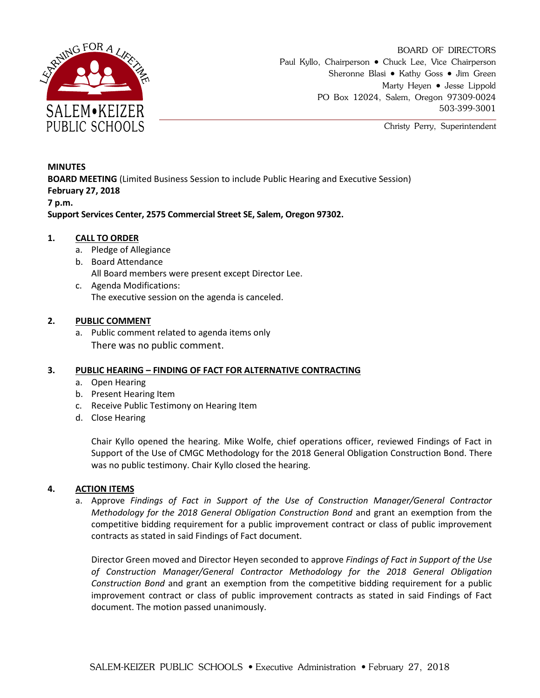

BOARD OF DIRECTORS Paul Kyllo, Chairperson • Chuck Lee, Vice Chairperson Sheronne Blasi • Kathy Goss • Jim Green Marty Heyen • Jesse Lippold PO Box 12024, Salem, Oregon 97309-0024 503-399-3001

Christy Perry, Superintendent

**MINUTES BOARD MEETING** (Limited Business Session to include Public Hearing and Executive Session) **February 27, 2018 7 p.m.**

**Support Services Center, 2575 Commercial Street SE, Salem, Oregon 97302.**

# **1. CALL TO ORDER**

- a. Pledge of Allegiance
- b. Board Attendance
	- All Board members were present except Director Lee.
- c. Agenda Modifications: The executive session on the agenda is canceled.

## **2. PUBLIC COMMENT**

a. Public comment related to agenda items only There was no public comment.

## **3. PUBLIC HEARING – FINDING OF FACT FOR ALTERNATIVE CONTRACTING**

- a. Open Hearing
- b. Present Hearing Item
- c. Receive Public Testimony on Hearing Item
- d. Close Hearing

Chair Kyllo opened the hearing. Mike Wolfe, chief operations officer, reviewed Findings of Fact in Support of the Use of CMGC Methodology for the 2018 General Obligation Construction Bond. There was no public testimony. Chair Kyllo closed the hearing.

## **4. ACTION ITEMS**

a. Approve *Findings of Fact in Support of the Use of Construction Manager/General Contractor Methodology for the 2018 General Obligation Construction Bond* and grant an exemption from the competitive bidding requirement for a public improvement contract or class of public improvement contracts as stated in said Findings of Fact document.

Director Green moved and Director Heyen seconded to approve *Findings of Fact in Support of the Use of Construction Manager/General Contractor Methodology for the 2018 General Obligation Construction Bond* and grant an exemption from the competitive bidding requirement for a public improvement contract or class of public improvement contracts as stated in said Findings of Fact document. The motion passed unanimously.